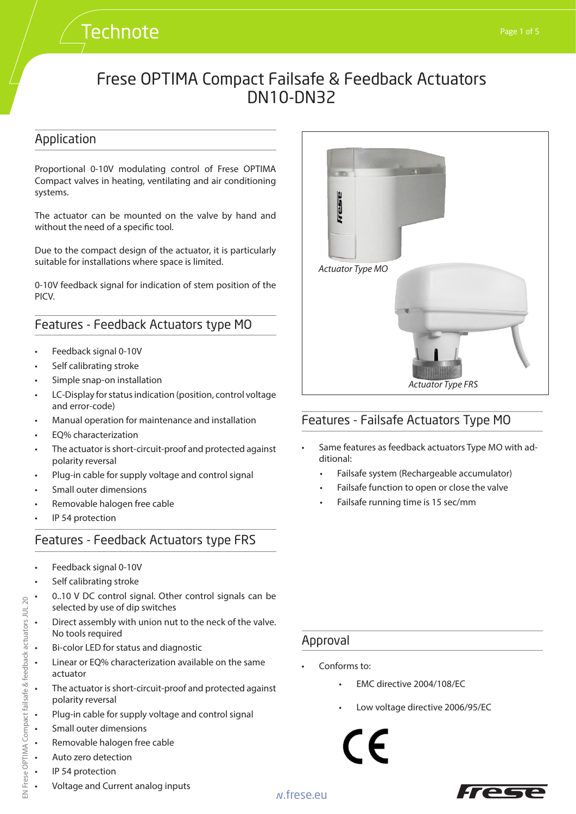# **Technote**

# Frese OPTIMA Compact Failsafe & Feedback Actuators DN10-DN32

#### Application

Proportional 0-10V modulating control of Frese OPTIMA Compact valves in heating, ventilating and air conditioning systems.

The actuator can be mounted on the valve by hand and without the need of a specific tool.

Due to the compact design of the actuator, it is particularly suitable for installations where space is limited.

0-10V feedback signal for indication of stem position of the PICV.

#### Features - Feedback Actuators type MO

- Feedback signal 0-10V
- Self calibrating stroke
- Simple snap-on installation
- LC-Display for status indication (position, control voltage and error-code)
- Manual operation for maintenance and installation
- EQ% characterization
- The actuator is short-circuit-proof and protected against polarity reversal
- Plug-in cable for supply voltage and control signal
- Small outer dimensions
- Removable halogen free cable
- IP 54 protection

#### Features - Feedback Actuators type FRS

- Feedback signal 0-10V
- Self calibrating stroke
- 0..10 V DC control signal. Other control signals can be selected by use of dip switches
- Direct assembly with union nut to the neck of the valve. No tools required
- Bi-color LED for status and diagnostic
- Linear or EQ% characterization available on the same actuator
- The actuator is short-circuit-proof and protected against polarity reversal
- Plug-in cable for supply voltage and control signal
- Small outer dimensions
- Removable halogen free cable
- Auto zero detection
- IP 54 protection
- Voltage and Current analog inputs

# **Test** *Actuator Type MO Actuator Type FRS*

## Features - Failsafe Actuators Type MO

- Same features as feedback actuators Type MO with additional:
	- Failsafe system (Rechargeable accumulator)
	- Failsafe function to open or close the valve
	- Failsafe running time is 15 sec/mm

#### Approval

- Conforms to:
	- EMC directive 2004/108/EC
	- Low voltage directive 2006/95/EC



20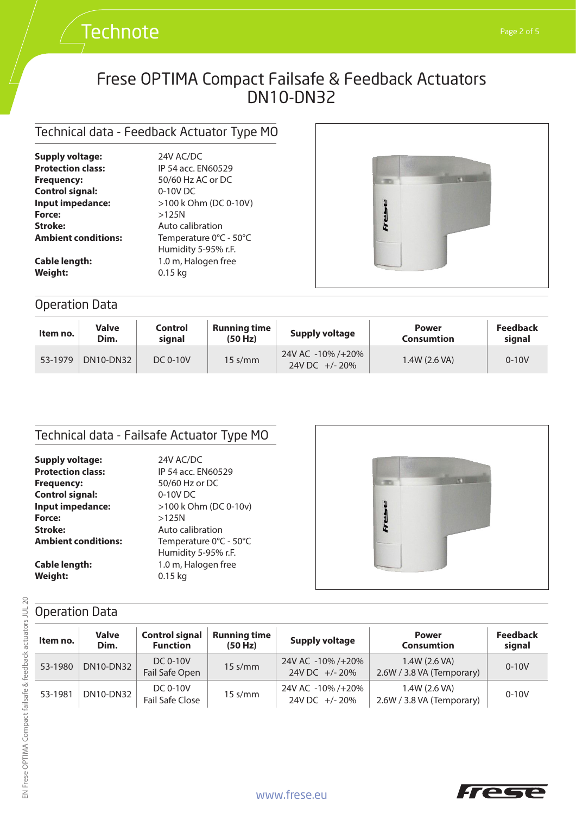## Technical data - Feedback Actuator Type MO

**Technote** 

| <b>Supply voltage:</b>     | 24V AC/DC              |  |  |
|----------------------------|------------------------|--|--|
| <b>Protection class:</b>   | IP 54 acc. EN60529     |  |  |
| <b>Frequency:</b>          | 50/60 Hz AC or DC      |  |  |
| <b>Control signal:</b>     | 0-10V DC               |  |  |
| Input impedance:           | >100 k Ohm (DC 0-10V)  |  |  |
| Force:                     | $>125N$                |  |  |
| Stroke:                    | Auto calibration       |  |  |
| <b>Ambient conditions:</b> | Temperature 0°C - 50°C |  |  |
|                            | Humidity 5-95% r.F.    |  |  |
| <b>Cable length:</b>       | 1.0 m, Halogen free    |  |  |
| Weight:                    | $0.15$ ka              |  |  |



## Operation Data

| Item no. | <b>Valve</b><br>Dim. | Control<br>sianal | <b>Running time</b><br>(50 Hz) | <b>Supply voltage</b>                  | <b>Power</b><br><b>Consumtion</b> | <b>Feedback</b><br>signal |
|----------|----------------------|-------------------|--------------------------------|----------------------------------------|-----------------------------------|---------------------------|
| 53-1979  | <b>DN10-DN32</b>     | DC 0-10V          | $15 \text{ s/mm}$              | 24V AC -10% /+20%<br>24V DC $+/- 20\%$ | 1.4W (2.6 VA)                     | $0 - 10V$                 |

## Technical data - Failsafe Actuator Type MO

| 24V AC/DC              |  |  |
|------------------------|--|--|
| IP 54 acc. EN60529     |  |  |
| 50/60 Hz or DC         |  |  |
| 0-10V DC               |  |  |
| >100 k Ohm (DC 0-10v)  |  |  |
| $>125N$                |  |  |
| Auto calibration       |  |  |
| Temperature 0°C - 50°C |  |  |
| Humidity 5-95% r.F.    |  |  |
| 1.0 m, Halogen free    |  |  |
| $0.15$ kg              |  |  |
|                        |  |  |



## Operation Data

| Item no. | <b>Valve</b><br>Dim. | <b>Control signal</b><br><b>Function</b> | <b>Running time</b><br>(50 Hz) | <b>Supply voltage</b>              | <b>Power</b><br><b>Consumtion</b>          | <b>Feedback</b><br>signal |
|----------|----------------------|------------------------------------------|--------------------------------|------------------------------------|--------------------------------------------|---------------------------|
| 53-1980  | <b>DN10-DN32</b>     | DC 0-10V<br>Fail Safe Open               | $15 \text{ s/mm}$              | 24V AC -10% /+20%<br>24V DC +/-20% | 1.4W (2.6 VA)<br>2.6W / 3.8 VA (Temporary) | $0 - 10V$                 |
| 53-1981  | DN10-DN32            | DC 0-10V<br>Fail Safe Close              | $15 \text{ s/mm}$              | 24V AC -10% /+20%<br>24V DC +/-20% | 1.4W (2.6 VA)<br>2.6W / 3.8 VA (Temporary) | $0 - 10V$                 |

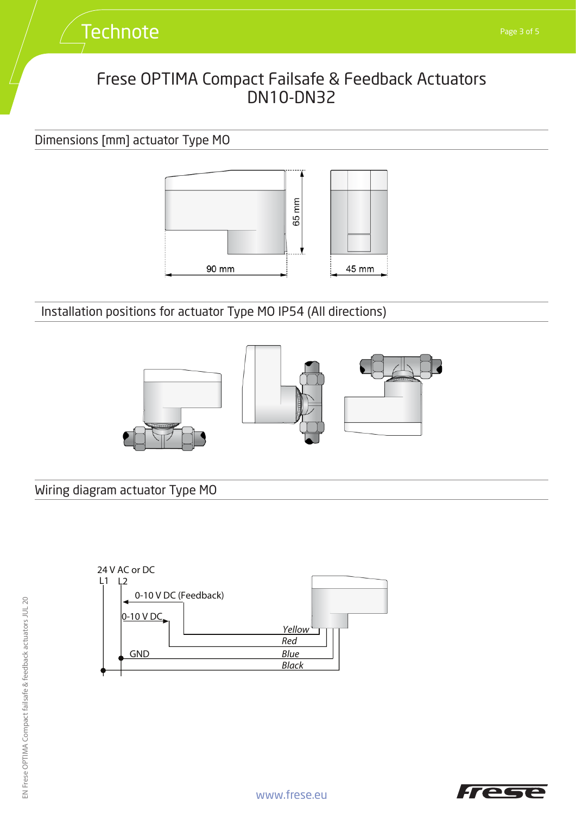## Dimensions [mm] actuator Type MO



Installation positions for actuator Type MO IP54 (All directions)



Wiring diagram actuator Type MO



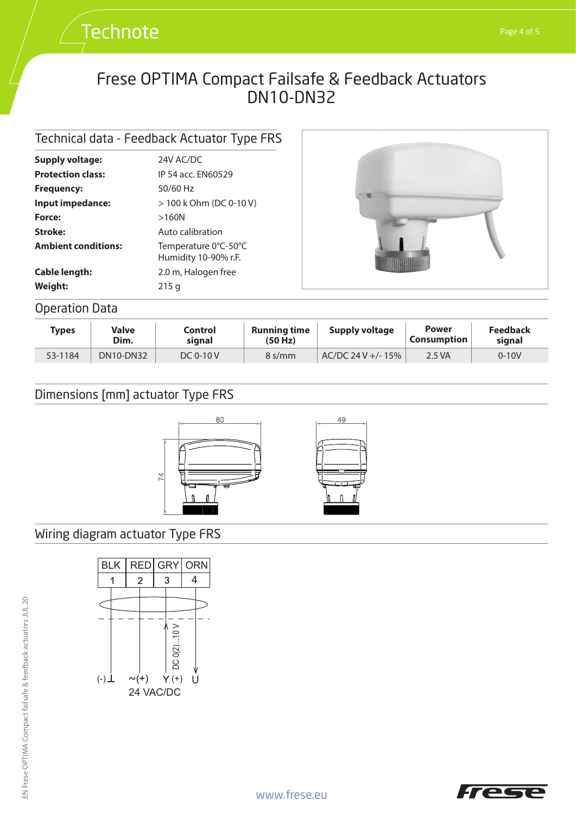## Technical data - Feedback Actuator Type FRS

**Technote** 

| <b>Supply voltage:</b>                                                             | 24V AC/DC                                                                                                 |  |  |
|------------------------------------------------------------------------------------|-----------------------------------------------------------------------------------------------------------|--|--|
| <b>Protection class:</b>                                                           | IP 54 acc. FN60529                                                                                        |  |  |
| <b>Frequency:</b>                                                                  | $50/60$ Hz                                                                                                |  |  |
| Input impedance:                                                                   | $> 100$ k Ohm (DC 0-10 V)                                                                                 |  |  |
| Force:<br>Stroke:<br><b>Ambient conditions:</b><br><b>Cable length:</b><br>Weight: | >160N<br>Auto calibration<br>Temperature 0°C-50°C<br>Humidity 10-90% r.F.<br>2.0 m, Halogen free<br>215 g |  |  |



## Operation Data

| <b>Types</b> | Valve<br>Dim. | Control<br>signal | <b>Running time</b><br>(50 Hz) | <b>Supply voltage</b> | <b>Power</b><br>$^{\circ}$ Consumption $_{\circ}$ | <b>Feedback</b><br>sianal |
|--------------|---------------|-------------------|--------------------------------|-----------------------|---------------------------------------------------|---------------------------|
| 53-1184      | DN10-DN32     | DC $0-10V$        | $8 \frac{\text{s}}{\text{mm}}$ | $AC/DC$ 24 V +/- 15%  | 2.5 VA                                            | $0 - 10V$                 |

## Dimensions [mm] actuator Type FRS



## Wiring diagram actuator Type FRS